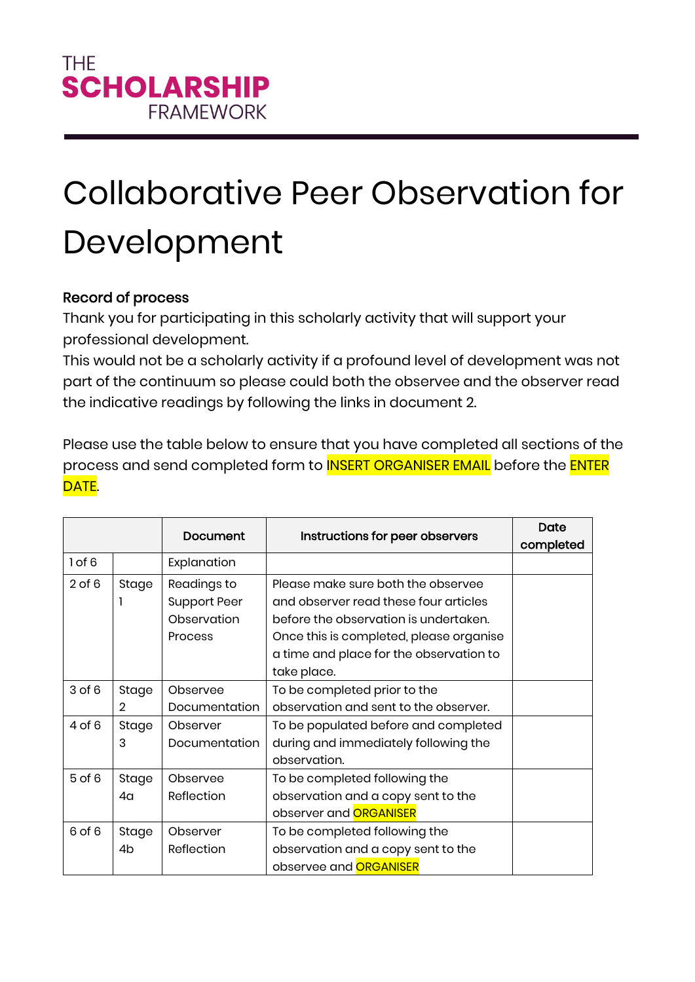## Collaborative Peer Observation for Development

## Record of process

Thank you for participating in this scholarly activity that will support your professional development.

This would not be a scholarly activity if a profound level of development was not part of the continuum so please could both the observee and the observer read the indicative readings by following the links in document 2.

Please use the table below to ensure that you have completed all sections of the process and send completed form to **INSERT ORGANISER EMAIL** before the **ENTER** DATE.

|            |                | Document            | Instructions for peer observers         | Date<br>completed |
|------------|----------------|---------------------|-----------------------------------------|-------------------|
| 1 of 6     |                | Explanation         |                                         |                   |
| $2$ of $6$ | Stage          | Readings to         | Please make sure both the observee      |                   |
|            |                | <b>Support Peer</b> | and observer read these four articles   |                   |
|            |                | Observation         | before the observation is undertaken.   |                   |
|            |                | <b>Process</b>      | Once this is completed, please organise |                   |
|            |                |                     | a time and place for the observation to |                   |
|            |                |                     | take place.                             |                   |
| $3$ of $6$ | Stage          | Observee            | To be completed prior to the            |                   |
|            | $\mathfrak{D}$ | Documentation       | observation and sent to the observer.   |                   |
| 4 of 6     | Stage          | Observer            | To be populated before and completed    |                   |
|            | 3              | Documentation       | during and immediately following the    |                   |
|            |                |                     | observation.                            |                   |
| $5$ of $6$ | Stage          | Observee            | To be completed following the           |                   |
|            | 4a             | Reflection          | observation and a copy sent to the      |                   |
|            |                |                     | observer and <b>ORGANISER</b>           |                   |
| 6 of 6     | Stage          | Observer            | To be completed following the           |                   |
|            | 4b             | Reflection          | observation and a copy sent to the      |                   |
|            |                |                     | observee and <b>ORGANISER</b>           |                   |